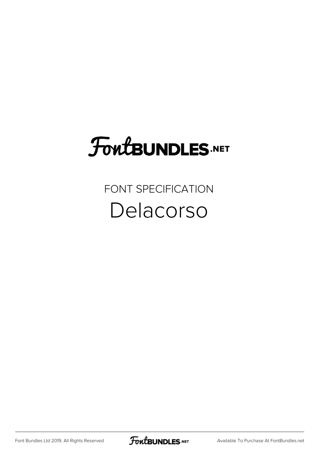# FoutBUNDLES.NET

### FONT SPECIFICATION Delacorso

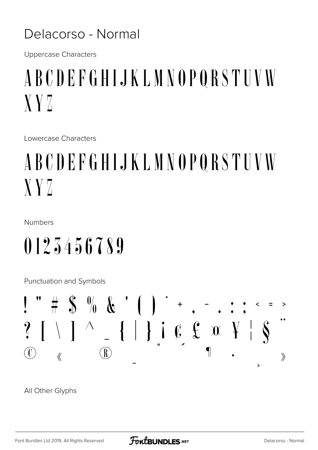#### Delacorso - Normal

**Uppercase Characters** 

### ABCDEFGHIJKLMNOPQRSTUVW  $XYZ$

Lowercase Characters

## ABCDEFGHIJKLMNOPQRSTUVW  $XYZ$

Numbers

## 0123456789

**Punctuation and Symbols** 



All Other Glyphs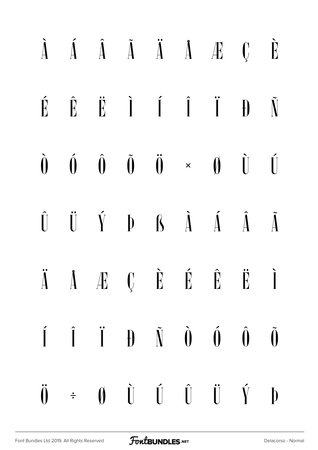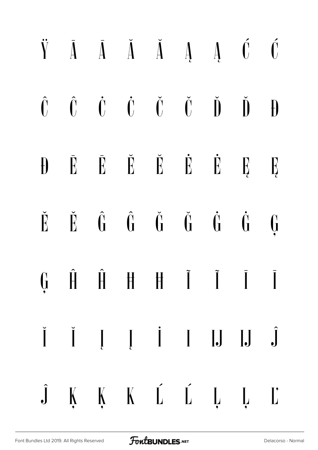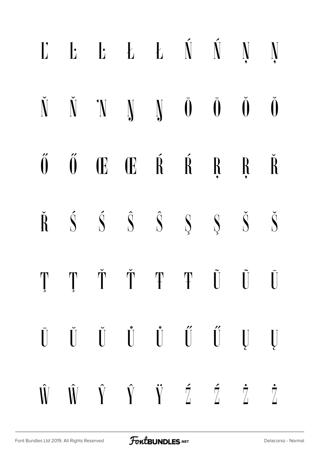|  | $\mathbf{L}$ $\mathbf{L}$ $\mathbf{L}$ $\mathbf{L}$ $\mathbf{L}$ $\mathbf{N}$ $\mathbf{N}$ $\mathbf{N}$                                                                                                                                                                                                                                                                                                                                                    |  |  |  |
|--|------------------------------------------------------------------------------------------------------------------------------------------------------------------------------------------------------------------------------------------------------------------------------------------------------------------------------------------------------------------------------------------------------------------------------------------------------------|--|--|--|
|  | $\check{N}$ $\check{N}$ $N$ $N$ $\check{N}$ $\check{0}$ $\check{0}$ $\check{0}$                                                                                                                                                                                                                                                                                                                                                                            |  |  |  |
|  | $\H 0 \quad \qquad \tilde{0} \qquad \qquad \text{I} \qquad \qquad \text{I} \qquad \text{R} \qquad \text{R} \qquad \text{R} \qquad \text{I} \qquad \text{I} \qquad \text{I} \qquad \text{I} \qquad \text{I} \qquad \text{I} \qquad \text{I} \qquad \text{I} \qquad \text{I} \qquad \text{I} \qquad \text{I} \qquad \text{I} \qquad \text{I} \qquad \text{I} \qquad \text{I} \qquad \text{I} \qquad \text{I} \qquad \text{I} \qquad \text{I} \qquad \text{I$ |  |  |  |
|  | $\check{R}$ $\check{S}$ $\check{S}$ $\hat{S}$ $\check{S}$ $\check{S}$ $\check{S}$ $\check{S}$                                                                                                                                                                                                                                                                                                                                                              |  |  |  |
|  | $\prod_{\alpha=1}^{\infty} \prod_{\alpha=1}^{\infty} \prod_{\alpha=1}^{\infty} \prod_{\alpha=1}^{\infty} \prod_{\alpha=1}^{\infty} \prod_{\alpha=1}^{\infty} \prod_{\alpha=1}^{\infty} \prod_{\alpha=1}^{\infty} \prod_{\alpha=1}^{\infty} \prod_{\alpha=1}^{\infty} \prod_{\alpha=1}^{\infty} \prod_{\alpha=1}^{\infty} \prod_{\alpha=1}^{\infty} \prod_{\alpha=1}^{\infty} \prod_{\alpha=1}^{\infty} \prod_{\alpha=1}^{\infty} \prod_{\alpha=1}^{\infty$ |  |  |  |
|  | $\begin{array}{ccccccccccccc} \bar{U} & \check{U} & \check{U} & \check{U} & \check{U} & \check{U} & \check{U} & \check{U} & \check{U} & \end{array}$                                                                                                                                                                                                                                                                                                       |  |  |  |
|  | $\hat{W} \quad \hat{W} \quad \hat{Y} \quad \hat{Y} \quad \check{Y} \quad \tilde{Z} \quad \tilde{Z} \quad \tilde{Z}$                                                                                                                                                                                                                                                                                                                                        |  |  |  |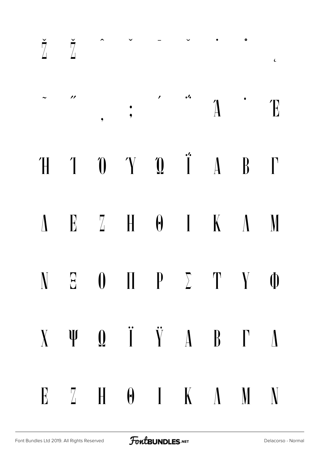| $\check{\mathbb{Z}}$ $\tilde{\mathbb{Z}}$ |                                                                                           |  |  | $\epsilon$ |
|-------------------------------------------|-------------------------------------------------------------------------------------------|--|--|------------|
| $\overline{\phantom{a}}$                  |                                                                                           |  |  |            |
|                                           | $H$ 1 0 $Y$ 0 $\hat{I}$ 4 $B$ $\Gamma$                                                    |  |  |            |
|                                           | $\Lambda$ E Z H $\Theta$ I K $\Lambda$ M                                                  |  |  |            |
|                                           | $N$ $E$ $0$ $\Pi$ $P$ $\Sigma$ $T$ $Y$ $\Phi$                                             |  |  |            |
|                                           | $X \quad \Psi \quad Q \quad \ddot{I} \quad \ddot{Y} \quad A \quad B \quad \Gamma \quad D$ |  |  |            |
|                                           | $E \t Z \t H \t \theta \t I \t K \t \Lambda \t M \t N$                                    |  |  |            |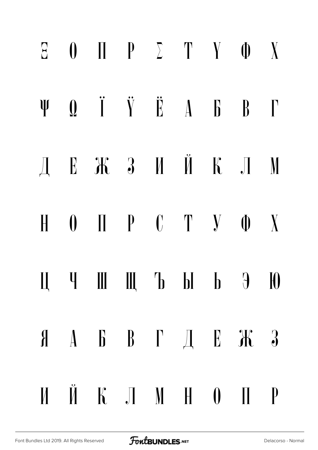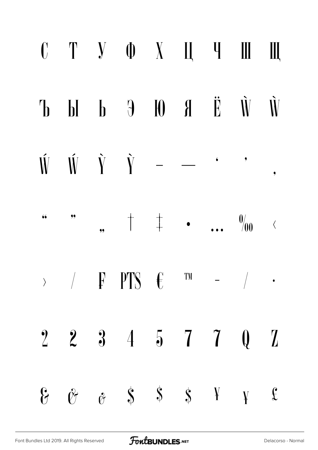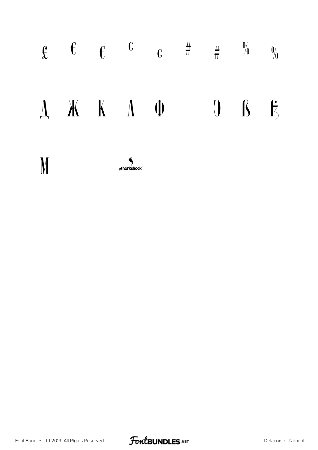

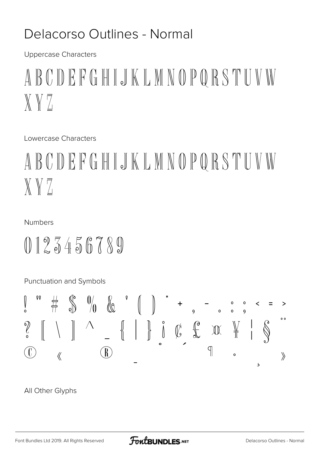### Delacorso Outlines - Normal

**Uppercase Characters** 

### ABCDEFGHIJKLMNOPQRSTUVW  $X V Z$

Lowercase Characters

### ABCDEFGHIJKLMNOPQRSTUVW  $X VZ$

#### **Numbers**

### $0125456789$

Punctuation and Symbols

All Other Glyphs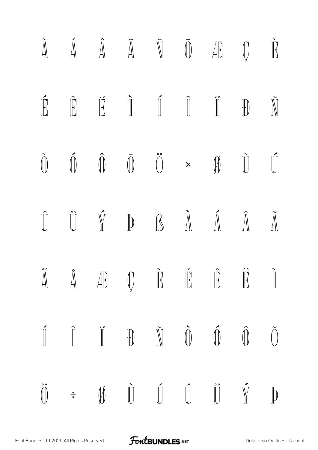|  |  |  | $\tilde{A}$ $\tilde{A}$ $\tilde{A}$ $\tilde{A}$ $\tilde{N}$ $\tilde{0}$ $\tilde{H}$ $\tilde{U}$ $\tilde{E}$                                                                                                                                                                                                                                                                                                                                                                                                                                    |  |
|--|--|--|------------------------------------------------------------------------------------------------------------------------------------------------------------------------------------------------------------------------------------------------------------------------------------------------------------------------------------------------------------------------------------------------------------------------------------------------------------------------------------------------------------------------------------------------|--|
|  |  |  | $\begin{array}{ccc} \hat{\mathbb{E}} & \hat{\mathbb{E}} & \hat{\mathbb{E}} & \mathbb{I} & \mathbb{I} & \mathbb{I} & \mathbb{I} & \mathbb{I} & \mathbb{I} \end{array}$                                                                                                                                                                                                                                                                                                                                                                          |  |
|  |  |  | $\begin{array}{ccccccccccccc} \hat{\mathbb{O}} & \hat{\mathbb{O}} & \hat{\mathbb{O}} & \hat{\mathbb{O}} & \hat{\mathbb{O}} & \times & \mathbb{O} & \hat{\mathbb{U}} & \hat{\mathbb{U}} & \end{array}$                                                                                                                                                                                                                                                                                                                                          |  |
|  |  |  | $\hat{\mathbb{U}}\qquad\hat{\mathbb{U}}\qquad\hat{\mathbb{V}}\qquad\mathbb{P}\qquad\mathbb{R}\qquad\hat{\mathbb{A}}\qquad\hat{\mathbb{A}}\qquad\hat{\mathbb{A}}\qquad\tilde{\mathbb{A}}$                                                                                                                                                                                                                                                                                                                                                       |  |
|  |  |  | $\mathring{\mathbb A}\qquad \mathring{\mathbb A}\qquad \mathring{\mathbb A}\qquad \mathring{\mathbb C}\qquad \mathring{\mathbb E}\qquad \mathring{\mathbb E}\qquad \mathring{\mathbb E}\qquad \mathring{\mathbb I}\qquad \mathring{\mathbb I}$                                                                                                                                                                                                                                                                                                 |  |
|  |  |  | $\begin{array}{ccc} \hat{\mathbb{I}} & \hat{\mathbb{I}} & \hat{\mathbb{I}} & \mathbb{I} \end{array} \begin{array}{ccc} \mathbb{I} & \mathbb{I} & \mathbb{I} & \mathbb{I} \end{array} \begin{array}{ccc} \mathbb{I} & \hat{\mathbb{I}} & \hat{\mathbb{I}} & \hat{\mathbb{I}} & \hat{\mathbb{I}} & \hat{\mathbb{I}} \end{array}$                                                                                                                                                                                                                 |  |
|  |  |  | $\begin{array}{ccccccccccccc} \mathring{\mathbb{O}} & & \mathring{\div} & & \mathbb{O} & & \mathring{\mathbb{O}} & & \mathring{\mathbb{O}} & & \mathring{\mathbb{O}} & & \mathring{\mathbb{O}} & & \mathring{\mathbb{O}} & & \mathring{\mathbb{O}} & & \mathring{\mathbb{O}} & & \mathring{\mathbb{O}} & & \mathring{\mathbb{O}} & & \mathring{\mathbb{O}} & & \mathring{\mathbb{O}} & & \mathring{\mathbb{O}} & & \mathring{\mathbb{O}} & & \mathring{\mathbb{O}} & & \mathring{\mathbb{O}} & & \mathring{\mathbb{O}} & & \mathring{\mathbb{$ |  |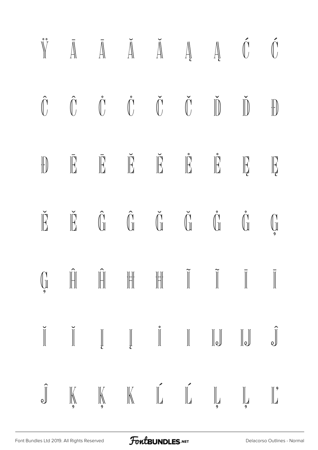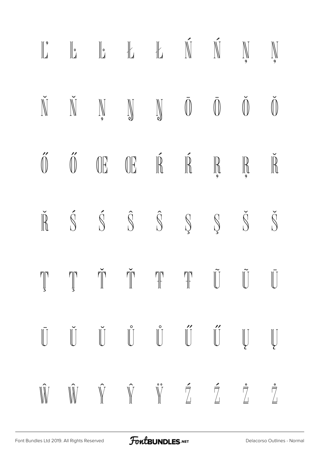|  | $\begin{array}{ccc} \parallel_{2}^{\circ} & \parallel_{2} & \parallel_{2} & \parallel_{2} & \parallel_{2} & \parallel_{2} & \parallel_{2} & \parallel_{2} & \parallel_{2} & \parallel_{2} & \parallel_{2} & \parallel_{2} & \parallel_{2} & \parallel_{2} & \parallel_{2} & \parallel_{2} & \parallel_{2} & \parallel_{2} & \parallel_{2} & \parallel_{2} & \parallel_{2} & \parallel_{2} & \parallel_{2} & \parallel_{2} & \parallel_{2} & \parallel_{2} & \parallel_{2} & \parallel_{2} & \parallel_{2} & \parallel_{2} & \parallel_{2} & \parallel_{2} & \parallel_{2} & \parallel_{2} & \parallel_{2}$ |  |  |                      |
|--|------------------------------------------------------------------------------------------------------------------------------------------------------------------------------------------------------------------------------------------------------------------------------------------------------------------------------------------------------------------------------------------------------------------------------------------------------------------------------------------------------------------------------------------------------------------------------------------------------------|--|--|----------------------|
|  | $\tilde{N} \quad \tilde{N} \quad \mathbb{N} \quad \mathbb{N} \quad \mathbb{N} \quad \bar{0} \quad \bar{0}$                                                                                                                                                                                                                                                                                                                                                                                                                                                                                                 |  |  | $\tilde{\mathbb{O}}$ |
|  | $\begin{matrix} \hat{\mathbb{O}} & \hat{\mathbb{O}} & \mathbb{O} \mathbb{E} & \mathbb{O} \mathbb{E} & \mathbb{R} & \mathbb{R} & \mathbb{R} & \mathbb{R} & \mathbb{R} \end{matrix}$                                                                                                                                                                                                                                                                                                                                                                                                                         |  |  |                      |
|  | $\check{\mathbb{R}} \quad \  \  \check{\mathbb{S}} \quad \  \  \check{\mathbb{S}} \quad \  \  \check{\mathbb{S}} \quad \  \  \check{\mathbb{S}} \quad \  \  \check{\mathbb{S}} \quad \  \  \check{\mathbb{S}} \quad \  \  \check{\mathbb{S}}$                                                                                                                                                                                                                                                                                                                                                              |  |  | $\check{\mathbb{S}}$ |
|  |                                                                                                                                                                                                                                                                                                                                                                                                                                                                                                                                                                                                            |  |  |                      |
|  | $\begin{array}{ccc} \bar{\mathbb{U}} & \check{\mathbb{U}} & \check{\mathbb{U}} & \check{\mathbb{U}} & \check{\mathbb{U}} & \check{\mathbb{U}} & \check{\mathbb{U}} & \check{\mathbb{U}} & \check{\mathbb{U}} & \mathbb{U} & \mathbb{U} \end{array}$                                                                                                                                                                                                                                                                                                                                                        |  |  |                      |
|  | $\hat{\mathbb{W}} \quad \hat{\mathbb{W}} \quad \hat{\mathbb{Y}} \quad \hat{\mathbb{Y}} \quad \hat{\mathbb{Y}} \quad \hat{\mathbb{Z}} \quad \hat{\mathbb{Z}} \quad \hat{\mathbb{Z}}$                                                                                                                                                                                                                                                                                                                                                                                                                        |  |  |                      |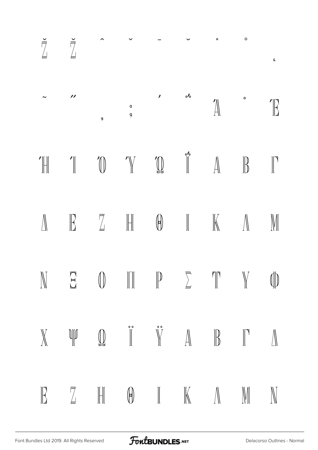| $\check{\vec{a}}$ $\check{\vec{a}}$ |                |                                                                                                                                                                                                                                                                                                                                                                                                                                                                                                                          |  | $\bullet$ and $\bullet$ | $\circ$ | $\epsilon$  |
|-------------------------------------|----------------|--------------------------------------------------------------------------------------------------------------------------------------------------------------------------------------------------------------------------------------------------------------------------------------------------------------------------------------------------------------------------------------------------------------------------------------------------------------------------------------------------------------------------|--|-------------------------|---------|-------------|
| $\mathcal{P}$                       | $\overline{9}$ | $\begin{matrix} \circ & \circ & \circ \circ & \circ \\ \circ & & \circ & \circ \circ \circ & \circ \end{matrix}$                                                                                                                                                                                                                                                                                                                                                                                                         |  |                         |         | $\int$      |
|                                     |                | $\text{Tr} \quad \text{Tr} \quad \text{Tr} \quad \text{Tr} \quad \text{Tr} \quad \text{Tr} \quad \text{Tr} \quad \text{Tr} \quad \text{Tr} \quad \text{Tr} \quad \text{Tr} \quad \text{Tr} \quad \text{Tr} \quad \text{Tr} \quad \text{Tr} \quad \text{Tr} \quad \text{Tr} \quad \text{Tr} \quad \text{Tr} \quad \text{Tr} \quad \text{Tr} \quad \text{Tr} \quad \text{Tr} \quad \text{Tr} \quad \text{Tr} \quad \text{Tr} \quad \text{Tr} \quad \text{Tr} \quad \text{Tr} \quad \text{Tr} \quad \text{Tr} \quad \text{$ |  |                         |         |             |
|                                     |                | $\begin{array}{ccc} \mathbb{E} & \mathbb{Z} & \mathbb{H} & \mathbb{0} & \mathbb{I} & \mathbb{K} & \mathbb{N} \end{array}$                                                                                                                                                                                                                                                                                                                                                                                                |  |                         |         | $\mathbb M$ |
|                                     |                | $\mathbb{N} \quad \Xi \quad \mathbb{O} \quad \mathbb{H} \quad \mathbb{P} \quad \Sigma \quad \mathbb{T} \quad \mathbb{Y} \quad \mathbb{O}$                                                                                                                                                                                                                                                                                                                                                                                |  |                         |         |             |
|                                     |                | $\mathbb{X} \qquad \text{and} \qquad \mathbb{D} \qquad \text{if} \qquad \mathbb{Y} \qquad \mathbb{A} \qquad \mathbb{B} \qquad \mathbb{I} \qquad \mathbb{A}$                                                                                                                                                                                                                                                                                                                                                              |  |                         |         |             |
|                                     |                | $\begin{array}{cccccccccccccc} \mathbb{R} & \mathbb{Z} & \mathbb{H} & \mathbb{G} & \mathbb{I} & \mathbb{K} & \mathbb{N} & \mathbb{N} & \mathbb{N} \end{array}$                                                                                                                                                                                                                                                                                                                                                           |  |                         |         |             |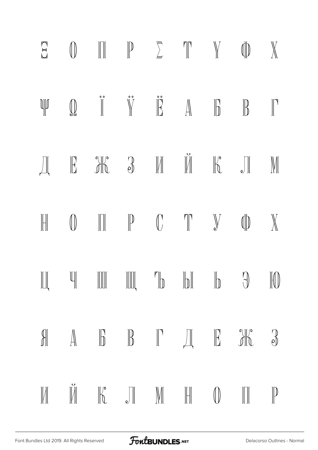| $\sum$ | $\begin{array}{ccc} \mathbb{O} & \mathbb{H} & \mathbb{P} & \Sigma & \mathbb{I} & \mathbb{N} & \mathbb{O} & \mathbb{N} \end{array}$                                                                                                                                                                                                                                                                                                                                                                                                                                        |  |  |  |
|--------|---------------------------------------------------------------------------------------------------------------------------------------------------------------------------------------------------------------------------------------------------------------------------------------------------------------------------------------------------------------------------------------------------------------------------------------------------------------------------------------------------------------------------------------------------------------------------|--|--|--|
|        |                                                                                                                                                                                                                                                                                                                                                                                                                                                                                                                                                                           |  |  |  |
|        | $\text{Im}\quad \mathbb{E} \quad \text{Im}\quad \mathbb{E} \quad \text{Im}\quad \mathbb{E} \quad \text{Im}\quad \mathbb{E} \quad \mathbb{E} \quad \mathbb{E} \quad \mathbb{E} \quad \mathbb{E} \quad \mathbb{E} \quad \mathbb{E} \quad \mathbb{E} \quad \mathbb{E} \quad \mathbb{E} \quad \mathbb{E} \quad \mathbb{E} \quad \mathbb{E} \quad \mathbb{E} \quad \mathbb{E} \quad \mathbb{E} \quad \mathbb{E} \quad \mathbb{E} \quad \mathbb{E} \quad \mathbb{E} \quad \mathbb{E} \quad \mathbb{$                                                                            |  |  |  |
|        | $\begin{array}{ccccccccccccccccc} \text{H} & & \text{I} & & \text{I} & & \text{I} & & \text{I} & & \text{I} & & \text{I} & & \text{I} & & \text{I} & & \text{I} & & \text{I} & & \text{I} & & \text{I} & & \text{I} & & \text{I} & & \text{I} & & \text{I} & & \text{I} & & \text{I} & & \text{I} & & \text{I} & & \text{I} & & \text{I} & & \text{I} & & \text{I} & & \text{I} & & \text{I} & & \text{I} & & \text{I} & & \text{I} &$                                                                                                                                    |  |  |  |
|        | $\begin{array}{ccc} \parallel\!\!\!\parallel\!\!\!\perp & \parallel\!\!\!\parallel\!\!\!\perp & \parallel\!\!\!\parallel\!\!\!\parallel & \parallel\!\!\!\parallel\!\!\!\perp & \parallel\!\!\!\perp \!\!\!\parallel & \parallel\!\!\!\perp \!\!\!\perp & \parallel\!\!\!\perp \!\!\!\perp & \parallel\!\!\!\perp \!\!\!\perp & \parallel\!\!\!\perp \!\!\!\perp & \parallel\!\!\!\perp \!\!\!\perp & \parallel\!\!\!\perp \!\!\!\perp & \parallel\!\!\!\perp \!\!\!\perp & \parallel\!\!\!\perp \!\!\!\perp & \parallel\!\!\!\perp \!\!\!\perp & \parallel\!\!\!\perp \$ |  |  |  |
|        | $\begin{array}{ccc}\n\mathbb{A} & \mathbb{B} & \mathbb{B} & \mathbb{C} & \mathbb{H} & \mathbb{H} & \mathbb{H} & \mathbb{R} & \mathbb{R} \end{array}$                                                                                                                                                                                                                                                                                                                                                                                                                      |  |  |  |
|        | $\begin{array}{ccccccccccccc} \textbf{M} & \textbf{M} & \textbf{M} & \textbf{M} & \textbf{M} & \textbf{M} & \textbf{M} & \textbf{M} & \textbf{M} & \textbf{M} & \textbf{M} & \textbf{M} & \textbf{M} & \textbf{M} & \textbf{M} & \textbf{M} & \textbf{M} & \textbf{M} & \textbf{M} & \textbf{M} & \textbf{M} & \textbf{M} & \textbf{M} & \textbf{M} & \textbf{M} & \textbf{M} & \textbf{M} & \textbf{M} & \textbf{M} & \textbf{M} &$                                                                                                                                      |  |  |  |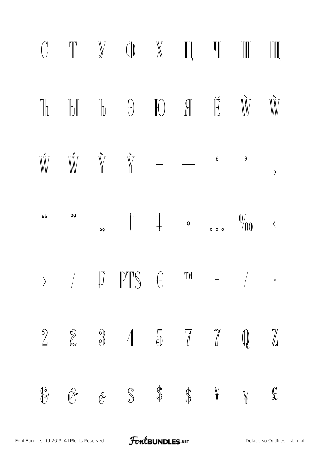